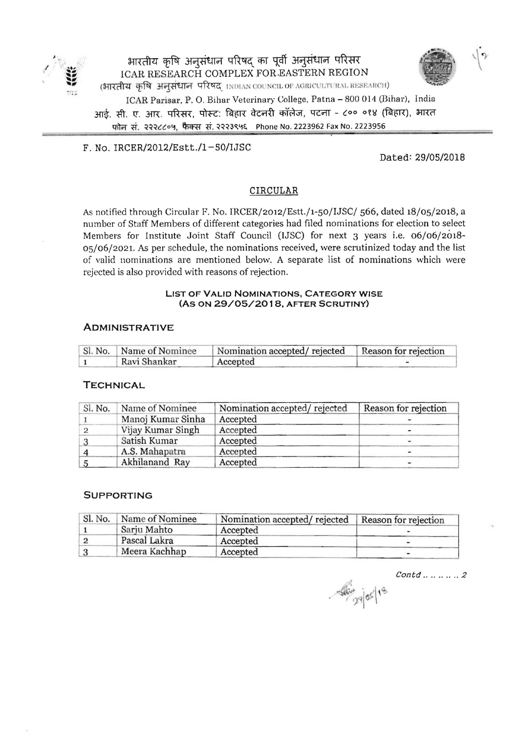

<sup>I</sup>**.....'** ~~~~CflT~~qftm **,.,** lCAR RESEARCH COMPLEX FOR.EASTERN REGION (भारतीय कृषि अनुसंधान परिषद INDIAN COUNCIL OF AGRICULTURAL RESEARCH) ICAR Parisar, P. O. Bihar Veterinary College, Patna - 800 014 (Bihar), India आई. सी. ए. आर. परिसर, पोस्ट: बिहार वेटनरी कॉलेज, पटना - ८०० ०१४ (बिहार), भारत

फोन सं. २२२८८०५, फैक्स सं. २२२३९५६ Phone No. 2223962 Fax No. 2223956

 $F. No. IRCER/2012/Estt./1-50/IJSC$ 

Dated: *29/05/2018* 

# CIRCULAR

As notified through Circular F. No. IRCER/2012/Estt./1-50/IJSC/ 566, dated 18/05/2018, a number of Staff Members of different categories had tiled nominations for election to select Members for Institute Joint Staff Council (IJSC) for next 3 years i.e. 06/06/2018-05/06/2021. As per schedule, the nominations received, were scrutinized today and the list of valid nominations are mentioned below. A separate list of nominations which were rejected is also provided with reasons of rejection.

## **LIST OF VALID NOMINATIONS, CATEGORY WISE (AS ON 29/05/2018, AFTER SCRUTINY)**

#### **ADMI NISTRATIVE**

| Sl. No.   Name of Nominee | Nomination accepted/ rejected   Reason for rejection |  |  |
|---------------------------|------------------------------------------------------|--|--|
| Ravi Shankar              | Accepted                                             |  |  |

# **TECHNICAL**

| Name of Nominee<br>Sl. No. |                   | Nomination accepted/rejected | Reason for rejection |  |
|----------------------------|-------------------|------------------------------|----------------------|--|
|                            | Manoj Kumar Sinha | Accepted                     |                      |  |
|                            | Vijay Kumar Singh | Accepted                     |                      |  |
|                            | Satish Kumar      | Accepted                     |                      |  |
|                            | A.S. Mahapatra    | Accepted                     |                      |  |
|                            | Akhilanand Ray    | Accepted                     |                      |  |

#### **SUPPORTING**

| Sl. No. | Name of Nominee | Nomination accepted/rejected | Reason for rejection |  |
|---------|-----------------|------------------------------|----------------------|--|
|         | Sarju Mahto     | Accepted                     |                      |  |
|         | Pascal Lakra    | Accepted                     |                      |  |
|         | Meera Kachhap   | Accepted                     |                      |  |

 $\mathcal{C}$ ontd  $\ldots \ldots \ldots 2$ 

Alin 29/05/18